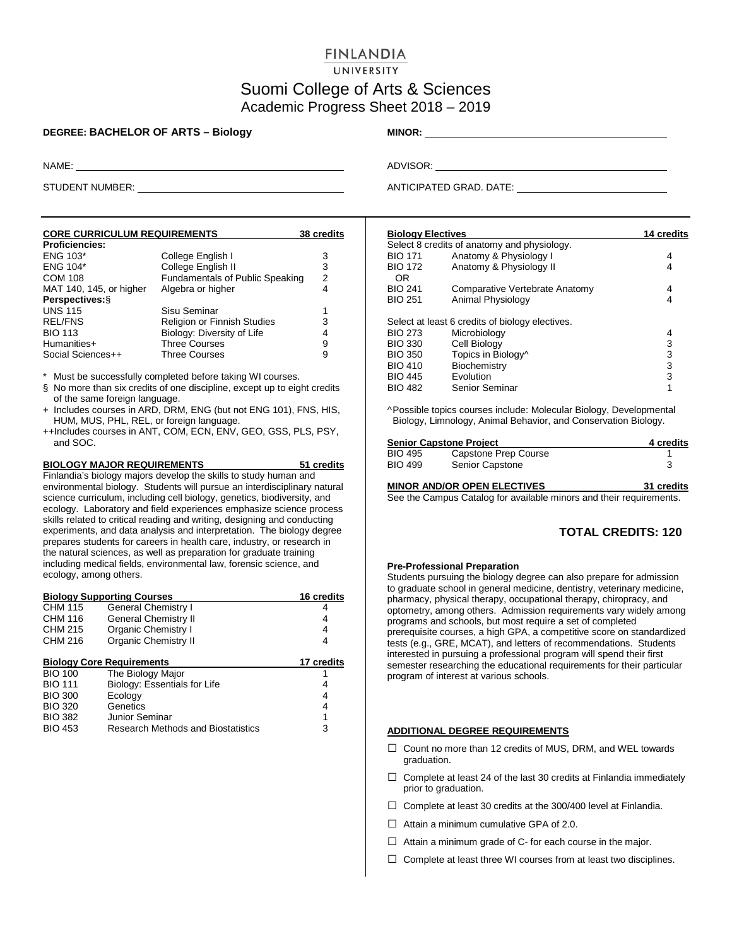# **FINLANDIA**

### UNIVERSITY

## Suomi College of Arts & Sciences Academic Progress Sheet 2018 – 2019

### **DEGREE: BACHELOR OF ARTS – Biology MINOR:**

| <b>CORE CURRICULUM REQUIREMENTS</b> |                                 | <b>38 credits</b> |
|-------------------------------------|---------------------------------|-------------------|
| <b>Proficiencies:</b>               |                                 |                   |
| <b>ENG 103*</b>                     | College English I               | 3                 |
| <b>ENG 104*</b>                     | College English II              | 3                 |
| <b>COM 108</b>                      | Fundamentals of Public Speaking | 2                 |
| MAT 140, 145, or higher             | Algebra or higher               | 4                 |
| Perspectives: §                     |                                 |                   |
| <b>UNS 115</b>                      | Sisu Seminar                    | 1                 |
| <b>REL/FNS</b>                      | Religion or Finnish Studies     | 3                 |
| <b>BIO 113</b>                      | Biology: Diversity of Life      | 4                 |
| Humanities+                         | <b>Three Courses</b>            | 9                 |
| Social Sciences++                   | <b>Three Courses</b>            | 9                 |

\* Must be successfully completed before taking WI courses.

- § No more than six credits of one discipline, except up to eight credits of the same foreign language.
- + Includes courses in ARD, DRM, ENG (but not ENG 101), FNS, HIS, HUM, MUS, PHL, REL, or foreign language.
- ++Includes courses in ANT, COM, ECN, ENV, GEO, GSS, PLS, PSY, and SOC.

#### **BIOLOGY MAJOR REQUIREMENTS 51 credits**

Finlandia's biology majors develop the skills to study human and environmental biology. Students will pursue an interdisciplinary natural science curriculum, including cell biology, genetics, biodiversity, and ecology. Laboratory and field experiences emphasize science process skills related to critical reading and writing, designing and conducting experiments, and data analysis and interpretation. The biology degree prepares students for careers in health care, industry, or research in the natural sciences, as well as preparation for graduate training including medical fields, environmental law, forensic science, and ecology, among others.

|                | <b>Biology Supporting Courses</b>         | <b>16 credits</b> |
|----------------|-------------------------------------------|-------------------|
| <b>CHM 115</b> | General Chemistry I                       | 4                 |
| CHM 116        | <b>General Chemistry II</b>               | 4                 |
| <b>CHM 215</b> | <b>Organic Chemistry I</b>                | 4                 |
| CHM 216        | <b>Organic Chemistry II</b>               | 4                 |
|                | <b>Biology Core Requirements</b>          | 17 credits        |
| <b>BIO 100</b> | The Biology Major                         |                   |
| <b>BIO 111</b> | Biology: Essentials for Life              | 4                 |
| <b>BIO 300</b> | Ecology                                   | 4                 |
| <b>BIO 320</b> | Genetics                                  | 4                 |
| <b>BIO 382</b> | Junior Seminar                            | 1                 |
| <b>BIO 453</b> | <b>Research Methods and Biostatistics</b> | 3                 |
|                |                                           |                   |

NAME: ADVISOR:

STUDENT NUMBER: **ANTICIPATED GRAD.** DATE:

| <b>Biology Electives</b> |                                                 | <b>14 credits</b> |
|--------------------------|-------------------------------------------------|-------------------|
|                          | Select 8 credits of anatomy and physiology.     |                   |
| <b>BIO 171</b>           | Anatomy & Physiology I                          | 4                 |
| <b>BIO 172</b><br>0R     | Anatomy & Physiology II                         | 4                 |
| <b>BIO 241</b>           | Comparative Vertebrate Anatomy                  | 4                 |
| <b>BIO 251</b>           | Animal Physiology                               | 4                 |
|                          | Select at least 6 credits of biology electives. |                   |
| <b>BIO 273</b>           | Microbiology                                    | 4                 |
| <b>BIO 330</b>           | Cell Biology                                    | 3                 |
| <b>BIO 350</b>           | Topics in Biology^                              | 3                 |
| <b>BIO 410</b>           | Biochemistry                                    | 3                 |
| <b>BIO 445</b>           | Evolution                                       | 3                 |
| <b>BIO 482</b>           | Senior Seminar                                  | 1                 |
|                          |                                                 |                   |

^Possible topics courses include: Molecular Biology, Developmental Biology, Limnology, Animal Behavior, and Conservation Biology.

|                | <b>Senior Capstone Project</b> | 4 credits |
|----------------|--------------------------------|-----------|
| <b>BIO 495</b> | Capstone Prep Course           |           |
| <b>BIO 499</b> | <b>Senior Capstone</b>         |           |
|                |                                |           |

**MINOR AND/OR OPEN ELECTIVES 31 credits** See the Campus Catalog for available minors and their requirements.

### **TOTAL CREDITS: 120**

#### **Pre-Professional Preparation**

Students pursuing the biology degree can also prepare for admission to graduate school in general medicine, dentistry, veterinary medicine, pharmacy, physical therapy, occupational therapy, chiropracy, and optometry, among others. Admission requirements vary widely among programs and schools, but most require a set of completed prerequisite courses, a high GPA, a competitive score on standardized tests (e.g., GRE, MCAT), and letters of recommendations. Students interested in pursuing a professional program will spend their first semester researching the educational requirements for their particular program of interest at various schools.

### **ADDITIONAL DEGREE REQUIREMENTS**

- □ Count no more than 12 credits of MUS, DRM, and WEL towards graduation.
- $\Box$  Complete at least 24 of the last 30 credits at Finlandia immediately prior to graduation.
- $\Box$  Complete at least 30 credits at the 300/400 level at Finlandia.
- $\Box$  Attain a minimum cumulative GPA of 2.0.
- $\Box$  Attain a minimum grade of C- for each course in the major.
- $\Box$  Complete at least three WI courses from at least two disciplines.